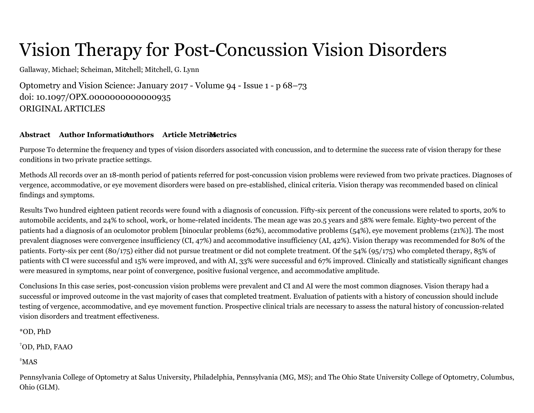## Vision Therapy for Post-Concussion Vision Disorders

Gallaway, Michael; Scheiman, Mitchell; Mitchell, G. Lynn

Optometry and Vision Science: [January](https://journals.lww.com/optvissci/toc/2017/01000) 2017 - Volume 94 - Issue 1 - p 68–73 doi: 10.1097/OPX.0000000000000935 ORIGINAL ARTICLES

## **[Abstract](#page-0-0) Author Informational Authors Article Metrics**

<span id="page-0-0"></span>Purpose To determine the frequency and types of vision disorders associated with concussion, and to determine the success rate of vision therapy for these conditions in two private practice settings.

Methods All records over an 18-month period of patients referred for post-concussion vision problems were reviewed from two private practices. Diagnoses of vergence, accommodative, or eye movement disorders were based on pre-established, clinical criteria. Vision therapy was recommended based on clinical findings and symptoms.

Results Two hundred eighteen patient records were found with a diagnosis of concussion. Fifty-six percent of the concussions were related to sports, 20% to automobile accidents, and 24% to school, work, or home-related incidents. The mean age was 20.5 years and 58% were female. Eighty-two percent of the patients had a diagnosis of an oculomotor problem [binocular problems (62%), accommodative problems (54%), eye movement problems (21%)]. The most prevalent diagnoses were convergence insufficiency (CI, 47%) and accommodative insufficiency (AI, 42%). Vision therapy was recommended for 80% of the patients. Forty-six per cent (80/175) either did not pursue treatment or did not complete treatment. Of the 54% (95/175) who completed therapy, 85% of patients with CI were successful and 15% were improved, and with AI, 33% were successful and 67% improved. Clinically and statistically significant changes were measured in symptoms, near point of convergence, positive fusional vergence, and accommodative amplitude.

Conclusions In this case series, post-concussion vision problems were prevalent and CI and AI were the most common diagnoses. Vision therapy had a successful or improved outcome in the vast majority of cases that completed treatment. Evaluation of patients with a history of concussion should include testing of vergence, accommodative, and eye movement function. Prospective clinical trials are necessary to assess the natural history of concussion-related vision disorders and treatment effectiveness.

<span id="page-0-1"></span>\*OD, PhD

OD, PhD, FAAO †

 $^*$ MAS

Pennsylvania College of Optometry at Salus University, Philadelphia, Pennsylvania (MG, MS); and The Ohio State University College of Optometry, Columbus, Ohio (GLM).